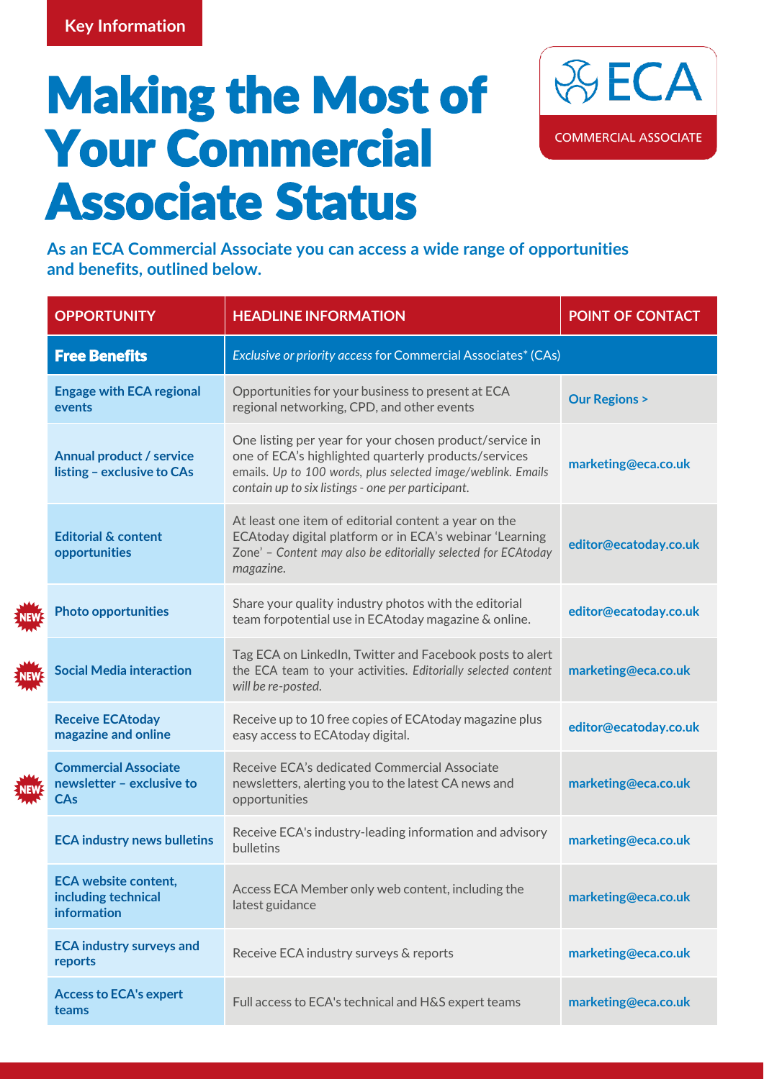## Making the Most of Your Commercial Associate Status



**As an ECA Commercial Associate you can access a wide range of opportunities and benefits, outlined below.**

| <b>OPPORTUNITY</b>                                                       | <b>HEADLINE INFORMATION</b>                                                                                                                                                                                                          | <b>POINT OF CONTACT</b> |
|--------------------------------------------------------------------------|--------------------------------------------------------------------------------------------------------------------------------------------------------------------------------------------------------------------------------------|-------------------------|
| <b>Free Benefits</b>                                                     | Exclusive or priority access for Commercial Associates* (CAs)                                                                                                                                                                        |                         |
| <b>Engage with ECA regional</b><br>events                                | Opportunities for your business to present at ECA<br>regional networking, CPD, and other events                                                                                                                                      | <b>Our Regions &gt;</b> |
| Annual product / service<br>listing - exclusive to CAs                   | One listing per year for your chosen product/service in<br>one of ECA's highlighted quarterly products/services<br>emails. Up to 100 words, plus selected image/weblink. Emails<br>contain up to six listings - one per participant. | marketing@eca.co.uk     |
| <b>Editorial &amp; content</b><br>opportunities                          | At least one item of editorial content a year on the<br>ECAtoday digital platform or in ECA's webinar 'Learning<br>Zone' - Content may also be editorially selected for ECAtoday<br>magazine.                                        | editor@ecatoday.co.uk   |
| <b>Photo opportunities</b>                                               | Share your quality industry photos with the editorial<br>team forpotential use in ECAtoday magazine & online.                                                                                                                        | editor@ecatoday.co.uk   |
| <b>Social Media interaction</b>                                          | Tag ECA on LinkedIn, Twitter and Facebook posts to alert<br>the ECA team to your activities. Editorially selected content<br>will be re-posted.                                                                                      | marketing@eca.co.uk     |
| <b>Receive ECAtoday</b><br>magazine and online                           | Receive up to 10 free copies of ECAtoday magazine plus<br>easy access to ECAtoday digital.                                                                                                                                           | editor@ecatoday.co.uk   |
| <b>Commercial Associate</b><br>newsletter - exclusive to<br>CAs          | Receive ECA's dedicated Commercial Associate<br>newsletters, alerting you to the latest CA news and<br>opportunities                                                                                                                 | marketing@eca.co.uk     |
| <b>ECA industry news bulletins</b>                                       | Receive ECA's industry-leading information and advisory<br>bulletins                                                                                                                                                                 | marketing@eca.co.uk     |
| <b>ECA website content,</b><br>including technical<br><b>information</b> | Access ECA Member only web content, including the<br>latest guidance                                                                                                                                                                 | marketing@eca.co.uk     |
| <b>ECA industry surveys and</b><br>reports                               | Receive ECA industry surveys & reports                                                                                                                                                                                               | marketing@eca.co.uk     |
| <b>Access to ECA's expert</b><br>teams                                   | Full access to ECA's technical and H&S expert teams                                                                                                                                                                                  | marketing@eca.co.uk     |